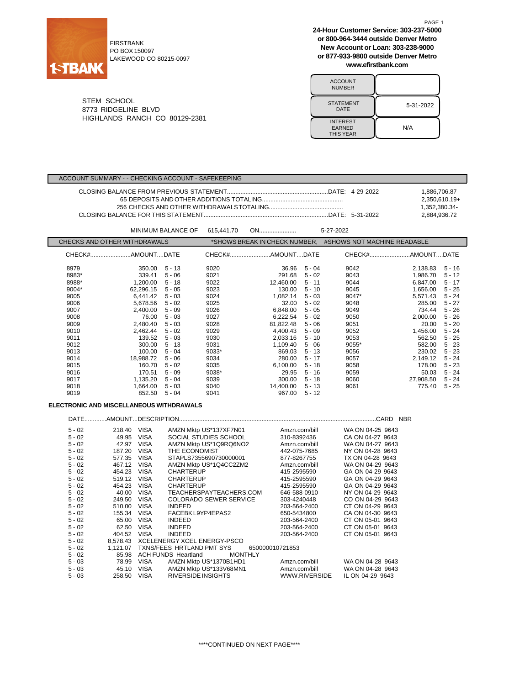

FIRSTBANK PO BOX 150097 LAKEWOOD CO 80215-0097 **24-Hour Customer Service: 303-237-5000 or 800-964-3444 outside Denver Metro New Account or Loan: 303-238-9000 or 877-933-9800 outside Denver Metro www.efirstbank.com**

PAGE 1

| <b>ACCOUNT</b><br><b>NUMBER</b>                      |           |
|------------------------------------------------------|-----------|
| <b>STATEMENT</b><br>DATE                             | 5-31-2022 |
| <b>INTEREST</b><br><b>EARNED</b><br><b>THIS YEAR</b> | N/A       |

STEM SCHOOL 8773 RIDGELINE BLVD HIGHLANDS RANCH CO 80129-2381

#### ACCOUNT SUMMARY - - CHECKING ACCOUNT - SAFEKEEPING

|  | 1.886.706.87    |
|--|-----------------|
|  | $2.350.610.19+$ |
|  | 1.352.380.34-   |
|  | 2.884.936.72    |

|                              |           | <b>MINIMUM BALANCE OF</b> | 615.441.70 | ON                                                           |          | 5-27-2022 |           |          |
|------------------------------|-----------|---------------------------|------------|--------------------------------------------------------------|----------|-----------|-----------|----------|
| CHECKS AND OTHER WITHDRAWALS |           |                           |            | *SHOWS BREAK IN CHECK NUMBER.<br>#SHOWS NOT MACHINE READABLE |          |           |           |          |
|                              |           |                           |            |                                                              |          |           |           |          |
| 8979                         | 350.00    | $5 - 13$                  | 9020       | 36.96                                                        | $5 - 04$ | 9042      | 2.138.83  | $5 - 16$ |
| 8983*                        | 339.41    | $5 - 06$                  | 9021       | 291.68                                                       | $5 - 02$ | 9043      | 1.986.70  | $5 - 12$ |
| 8988*                        | 1.200.00  | $5 - 18$                  | 9022       | 12,460.00                                                    | $5 - 11$ | 9044      | 6.847.00  | $5 - 17$ |
| 9004*                        | 62.296.15 | $5 - 05$                  | 9023       | 130.00                                                       | $5 - 10$ | 9045      | 1.656.00  | $5 - 25$ |
| 9005                         | 6.441.42  | $5 - 03$                  | 9024       | 1,082.14                                                     | $5 - 03$ | 9047*     | 5,571.43  | $5 - 24$ |
| 9006                         | 5.678.56  | $5 - 02$                  | 9025       | 32.00                                                        | $5 - 02$ | 9048      | 285.00    | $5 - 27$ |
| 9007                         | 2.400.00  | $5 - 09$                  | 9026       | 6,848.00                                                     | $5 - 05$ | 9049      | 734.44    | $5 - 26$ |
| 9008                         | 76.00     | $5 - 03$                  | 9027       | 6,222.54                                                     | $5 - 02$ | 9050      | 2,000.00  | $5 - 26$ |
| 9009                         | 2,480.40  | $5 - 03$                  | 9028       | 81,822.48                                                    | $5 - 06$ | 9051      | 20.00     | $5 - 20$ |
| 9010                         | 2.462.44  | $5 - 02$                  | 9029       | 4.400.43                                                     | $5 - 09$ | 9052      | 1,456.00  | $5 - 24$ |
| 9011                         | 139.52    | $5 - 03$                  | 9030       | 2,033.16                                                     | $5 - 10$ | 9053      | 562.50    | $5 - 25$ |
| 9012                         | 300.00    | $5 - 13$                  | 9031       | 1,109.40                                                     | $5 - 06$ | 9055*     | 582.00    | $5 - 23$ |
| 9013                         | 100.00    | $5 - 04$                  | 9033*      | 869.03                                                       | $5 - 13$ | 9056      | 230.02    | $5 - 23$ |
| 9014                         | 18.988.72 | $5 - 06$                  | 9034       | 280.00                                                       | $5 - 17$ | 9057      | 2,149.12  | $5 - 24$ |
| 9015                         | 160.70    | $5 - 02$                  | 9035       | 6,100.00                                                     | 5 - 18   | 9058      | 178.00    | $5 - 23$ |
| 9016                         | 170.51    | $5 - 09$                  | 9038*      | 29.95                                                        | $5 - 16$ | 9059      | 50.03     | $5 - 24$ |
| 9017                         | 1,135.20  | $5 - 04$                  | 9039       | 300.00                                                       | $5 - 18$ | 9060      | 27,908.50 | $5 - 24$ |
| 9018                         | 1.664.00  | $5 - 03$                  | 9040       | 14,400.00                                                    | $5 - 13$ | 9061      | 775.40    | $5 - 25$ |
| 9019                         | 852.50    | $5 - 04$                  | 9041       | 967.00                                                       | $5 - 12$ |           |           |          |

## **ELECTRONIC AND MISCELLANEOUS WITHDRAWALS**

| <b>DATE</b> |          |             |                                       |                 | .CARD<br><b>NBR</b> |
|-------------|----------|-------------|---------------------------------------|-----------------|---------------------|
| $5 - 02$    | 218.40   | <b>VISA</b> | AMZN Mktp US*137XF7N01                | Amzn.com/bill   | WA ON 04-25 9643    |
| $5 - 02$    | 49.95    | <b>VISA</b> | SOCIAL STUDIES SCHOOL                 | 310-8392436     | CA ON 04-27 9643    |
| $5 - 02$    | 42.97    | <b>VISA</b> | AMZN Mktp US*1Q9RQ6NO2                | Amzn.com/bill   | WA ON 04-27 9643    |
| $5 - 02$    | 187.20   | <b>VISA</b> | THE ECONOMIST                         | 442-075-7685    | NY ON 04-28 9643    |
| $5 - 02$    | 577.35   | <b>VISA</b> | STAPLS7355690730000001                | 877-8267755     | TX ON 04-28 9643    |
| $5 - 02$    | 467.12   | <b>VISA</b> | AMZN Mktp US*1Q4CC2ZM2                | Amzn.com/bill   | WA ON 04-29 9643    |
| $5 - 02$    | 454.23   | <b>VISA</b> | <b>CHARTERUP</b>                      | 415-2595590     | GA ON 04-29 9643    |
| $5 - 02$    | 519.12   | <b>VISA</b> | CHARTERUP                             | 415-2595590     | GA ON 04-29 9643    |
| $5 - 02$    | 454.23   | <b>VISA</b> | <b>CHARTERUP</b>                      | 415-2595590     | GA ON 04-29 9643    |
| $5 - 02$    | 40.00    | <b>VISA</b> | TEACHERSPAYTEACHERS.COM               | 646-588-0910    | NY ON 04-29 9643    |
| $5 - 02$    | 249.50   | <b>VISA</b> | <b>COLORADO SEWER SERVICE</b>         | 303-4240448     | CO ON 04-29 9643    |
| $5 - 02$    | 510.00   | <b>VISA</b> | <b>INDEED</b>                         | 203-564-2400    | CT ON 04-29 9643    |
| $5 - 02$    | 155.34   | <b>VISA</b> | FACEBK L9YP4EPAS2                     | 650-5434800     | CA ON 04-30 9643    |
| $5 - 02$    | 65.00    | <b>VISA</b> | <b>INDEED</b>                         | 203-564-2400    | CT ON 05-01 9643    |
| $5 - 02$    | 62.50    | <b>VISA</b> | <b>INDEED</b>                         | 203-564-2400    | CT ON 05-01 9643    |
| $5 - 02$    | 404.52   | <b>VISA</b> | <b>INDEED</b>                         | 203-564-2400    | CT ON 05-01 9643    |
| $5 - 02$    | 8.578.43 |             | XCELENERGY XCEL ENERGY-PSCO           |                 |                     |
| $5 - 02$    | 1.121.07 |             | TXNS/FEES HRTLAND PMT SYS             | 650000010721853 |                     |
| $5 - 02$    | 85.98    |             | ACH FUNDS Heartland<br><b>MONTHLY</b> |                 |                     |
| $5 - 03$    | 78.99    | <b>VISA</b> | AMZN Mktp US*1370B1HD1                | Amzn.com/bill   | WA ON 04-28 9643    |
| $5 - 03$    | 45.10    | VISA        | AMZN Mktp US*133V68MN1                | Amzn.com/bill   | WA ON 04-28 9643    |
| $5 - 03$    | 258.50   | <b>VISA</b> | <b>RIVERSIDE INSIGHTS</b>             | WWW.RIVERSIDE   | IL ON 04-29 9643    |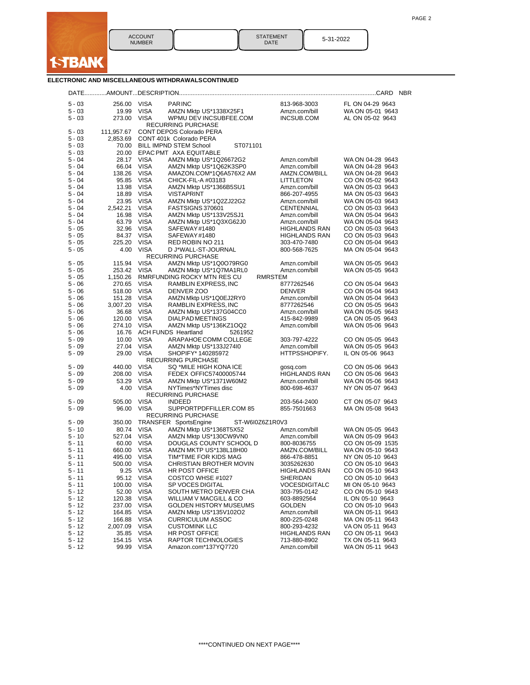

STATEMENT DATE 5-31-2022

### **ELECTRONIC AND MISCELLANEOUS WITHDRAWALSCONTINUED**

| $5 - 03$             | 256.00           | <b>VISA</b>                | <b>PARINC</b>                                  | 813-968-3003                     | FL ON 04-29 9643                     |
|----------------------|------------------|----------------------------|------------------------------------------------|----------------------------------|--------------------------------------|
| $5 - 03$             | 19.99            | VISA                       | AMZN Mktp US*1338X25F1                         | Amzn.com/bill                    | WA ON 05-01 9643                     |
| $5 - 03$             | 273.00           | <b>VISA</b>                | WPMU DEV INCSUBFEE.COM                         | INCSUB.COM                       | AL ON 05-02 9643                     |
|                      |                  |                            | <b>RECURRING PURCHASE</b>                      |                                  |                                      |
| 5 - 03               | 111,957.67       |                            | <b>CONT DEPOS Colorado PERA</b>                |                                  |                                      |
| $5 - 03$             | 2,853.69         |                            | CONT 401k Colorado PERA                        |                                  |                                      |
| $5 - 03$             | 70.00            |                            | <b>BILL IMPND STEM School</b><br>ST071101      |                                  |                                      |
| $5 - 03$             | 20.00            |                            | EPAC PMT AXA EQUITABLE                         |                                  |                                      |
| $5 - 04$             | 28.17            | <b>VISA</b>                | AMZN Mktp US*1Q26672G2                         | Amzn.com/bill                    | WA ON 04-28 9643                     |
| 5 - 04               | 66.04            | <b>VISA</b>                | AMZN Mktp US*1Q62K3SP0                         | Amzn.com/bill                    | WA ON 04-28 9643                     |
| $5 - 04$<br>$5 - 04$ | 138.26<br>95.85  | <b>VISA</b><br><b>VISA</b> | AMAZON.COM*1Q6A576X2 AM<br>CHICK-FIL-A #03183  | AMZN.COM/BILL<br>LITTLETON       | WA ON 04-28 9643<br>CO ON 05-02 9643 |
| $5 - 04$             | 13.98            | <b>VISA</b>                | AMZN Mktp US*1366B5SU1                         | Amzn.com/bill                    | WA ON 05-03 9643                     |
| $5 - 04$             | 18.89            | VISA                       | <b>VISTAPRINT</b>                              | 866-207-4955                     | MA ON 05-03 9643                     |
| $5 - 04$             | 23.95            | <b>VISA</b>                | AMZN Mktp US*1Q2ZJ22G2                         | Amzn.com/bill                    | WA ON 05-03 9643                     |
| 5 - 04               | 2,542.21         | <b>VISA</b>                | FASTSIGNS 370601                               | CENTENNIAL                       | CO ON 05-03 9643                     |
| $5 - 04$             | 16.98            | <b>VISA</b>                | AMZN Mktp US*133V25SJ1                         | Amzn.com/bill                    | WA ON 05-04 9643                     |
| $5 - 04$             | 63.79            | <b>VISA</b>                | AMZN Mktp US*1Q3XG62J0                         | Amzn.com/bill                    | WA ON 05-04 9643                     |
| $5 - 05$             | 32.96            | <b>VISA</b>                | SAFEWAY#1480                                   | <b>HIGHLANDS RAN</b>             | CO ON 05-03 9643                     |
| 5 - 05               | 84.37            | VISA                       | SAFEWAY#1480                                   | HIGHLANDS RAN                    | CO ON 05-03 9643                     |
| $5 - 05$             | 225.20           | <b>VISA</b>                | RED ROBIN NO 211                               | 303-470-7480                     | CO ON 05-04 9643                     |
| $5 - 05$             | 4.00             | <b>VISA</b>                | D J*WALL-ST-JOURNAL                            | 800-568-7625                     | MA ON 05-04 9643                     |
|                      |                  |                            | RECURRING PURCHASE                             |                                  |                                      |
| 5 - 05               | 115.94           | <b>VISA</b>                | AMZN Mktp US*1Q0O79RG0                         | Amzn.com/bill                    | WA ON 05-05 9643                     |
| $5 - 05$             | 253.42           | <b>VISA</b>                | AMZN Mktp US*1Q7MA1RL0                         | Amzn.com/bill                    | WA ON 05-05 9643                     |
| $5 - 05$<br>$5 - 06$ | 1,150.26         |                            | RMRFUNDING ROCKY MTN RES CU                    | RMRSTEM                          | CO ON 05-04 9643                     |
| $5 - 06$             | 270.65<br>518.00 | <b>VISA</b><br><b>VISA</b> | RAMBLIN EXPRESS, INC<br>DENVER ZOO             | 8777262546<br><b>DENVER</b>      | CO ON 05-04 9643                     |
| $5 - 06$             | 151.28           | <b>VISA</b>                | AMZN Mktp US*1Q0EJ2RY0                         | Amzn.com/bill                    | WA ON 05-04 9643                     |
| $5 - 06$             | 3,007.20         | <b>VISA</b>                | RAMBLIN EXPRESS, INC                           | 8777262546                       | CO ON 05-05 9643                     |
| $5 - 06$             | 36.68            | <b>VISA</b>                | AMZN Mktp US*137G04CC0                         | Amzn.com/bill                    | WA ON 05-05 9643                     |
| $5 - 06$             | 120.00           | VISA                       | DIALPAD MEETINGS                               | 415-842-9989                     | CA ON 05-05 9643                     |
| $5 - 06$             | 274.10           | <b>VISA</b>                | AMZN Mktp US*136KZ1OQ2                         | Amzn.com/bill                    | WA ON 05-06 9643                     |
| $5 - 06$             | 16.76            |                            | <b>ACH FUNDS Heartland</b><br>5261952          |                                  |                                      |
| $5 - 09$             | 10.00            | <b>VISA</b>                | ARAPAHOE COMM COLLEGE                          | 303-797-4222                     | CO ON 05-05 9643                     |
| $5 - 09$             | 27.04            | <b>VISA</b>                | AMZN Mktp US*133J274I0                         | Amzn.com/bill                    | WA ON 05-05 9643                     |
| $5 - 09$             | 29.00            | <b>VISA</b>                | SHOPIFY* 140285972                             | HTTPSSHOPIFY.                    | IL ON 05-06 9643                     |
|                      |                  |                            | RECURRING PURCHASE                             |                                  |                                      |
| 5 - 09               | 440.00           | <b>VISA</b>                | SQ *MILE HIGH KONA ICE                         | gosq.com                         | CO ON 05-06 9643                     |
| $5 - 09$             | 208.00           | <b>VISA</b>                | FEDEX OFFIC57400005744                         | HIGHLANDS RAN                    | CO ON 05-06 9643                     |
| 5 - 09<br>$5 - 09$   | 53.29<br>4.00    | VISA<br><b>VISA</b>        | AMZN Mktp US*1371W60M2<br>NYTimes*NYTimes disc | Amzn.com/bill<br>800-698-4637    | WA ON 05-06 9643<br>NY ON 05-07 9643 |
|                      |                  |                            | <b>RECURRING PURCHASE</b>                      |                                  |                                      |
| 5 - 09               | 505.00           | <b>VISA</b>                | <b>INDEED</b>                                  | 203-564-2400                     | CT ON 05-07 9643                     |
| $5 - 09$             | 96.00            | <b>VISA</b>                | SUPPORTPDFFILLER.COM 85                        | 855-7501663                      | MA ON 05-08 9643                     |
|                      |                  |                            | RECURRING PURCHASE                             |                                  |                                      |
| 5 - 09               | 350.00           |                            | TRANSFER SportsEngine<br>ST-W6I0Z6Z1R0V3       |                                  |                                      |
| $5 - 10$             | 80.74            | <b>VISA</b>                | AMZN Mktp US*1368T5X52                         | Amzn.com/bill                    | WA ON 05-05 9643                     |
| $5 - 10$             | 527.04           | <b>VISA</b>                | AMZN Mktp US*130CW9VN0                         | Amzn.com/bill                    | WA ON 05-09 9643                     |
| $5 - 11$             | 60.00            | VISA                       | DOUGLAS COUNTY SCHOOL D                        | 800-8036755                      | CO ON 05-09 1535                     |
| $5 - 11$             | 660.00           | <b>VISA</b>                | AMZN MKTP US*138L18H00                         | AMZN.COM/BILL                    | WA ON 05-10 9643                     |
| $5 - 11$             | 495.00           | VISA                       | TIM*TIME FOR KIDS MAG                          | 866-478-8851                     | NY ON 05-10 9643                     |
| $5 - 11$             | 500.00           | VISA                       | CHRISTIAN BROTHER MOVIN                        | 3035262630                       | CO ON 05-10 9643                     |
| 5 - 11               | 9.25             | <b>VISA</b>                | <b>HR POST OFFICE</b>                          | <b>HIGHLANDS RAN</b>             | CO ON 05-10 9643                     |
| $5 - 11$<br>5 - 11   | 100.00 VISA      | 95.12 VISA                 | COSTCO WHSE #1027<br>SP VOCES DIGITAL          | SHERIDAN<br><b>VOCESDIGITALC</b> | CO ON 05-10 9643<br>MI ON 05-10 9643 |
| $5 - 12$             | 52.00            | <b>VISA</b>                | SOUTH METRO DENVER CHA                         | 303-795-0142                     | CO ON 05-10 9643                     |
| $5 - 12$             | 120.38           | <b>VISA</b>                | WILLIAM V MACGILL & CO                         | 603-8892564                      | IL ON 05-10 9643                     |
| $5 - 12$             | 237.00           | <b>VISA</b>                | GOLDEN HISTORY MUSEUMS                         | GOLDEN                           | CO ON 05-10 9643                     |
| $5 - 12$             | 164.85           | <b>VISA</b>                | AMZN Mktp US*135V102O2                         | Amzn.com/bill                    | WA ON 05-11 9643                     |
| $5 - 12$             | 166.88           | <b>VISA</b>                | <b>CURRICULUM ASSOC</b>                        | 800-225-0248                     | MA ON 05-11 9643                     |
| $5 - 12$             | 2,007.09         | <b>VISA</b>                | <b>CUSTOMINK LLC</b>                           | 800-293-4232                     | VA ON 05-11 9643                     |
| $5 - 12$             | 35.85            | <b>VISA</b>                | <b>HR POST OFFICE</b>                          | HIGHLANDS RAN                    | CO ON 05-11 9643                     |
| $5 - 12$             | 154.15           | <b>VISA</b>                | RAPTOR TECHNOLOGIES                            | 713-880-8902                     | TX ON 05-11 9643                     |
| $5 - 12$             | 99.99            | VISA                       | Amazon.com*137YQ7720                           | Amzn.com/bill                    | WA ON 05-11 9643                     |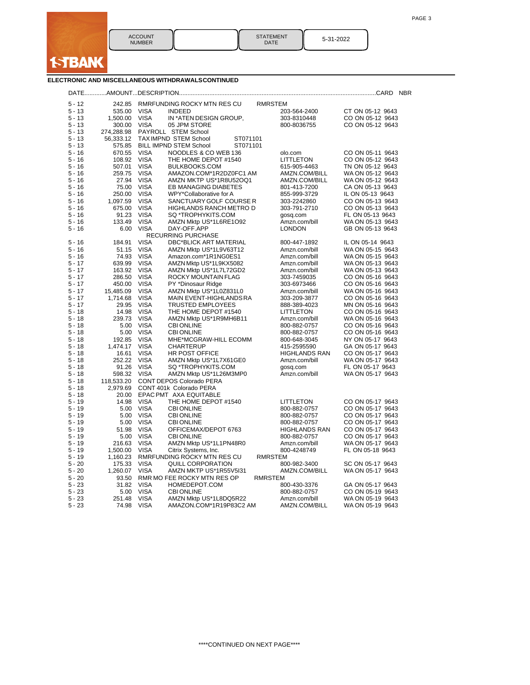

| <b>STATEMENT</b><br>DATE | 5-31-2022 |
|--------------------------|-----------|
|--------------------------|-----------|

### **ELECTRONIC AND MISCELLANEOUS WITHDRAWALSCONTINUED**

|                      |                  |             |                                                       |                |                      | <b>NBR</b>       |
|----------------------|------------------|-------------|-------------------------------------------------------|----------------|----------------------|------------------|
|                      |                  |             |                                                       |                |                      |                  |
| $5 - 12$<br>$5 - 13$ | 242.85<br>535.00 | <b>VISA</b> | RMRFUNDING ROCKY MTN RES CU<br><b>INDEED</b>          | <b>RMRSTEM</b> | 203-564-2400         | CT ON 05-12 9643 |
| $5 - 13$             | 1,500.00         | <b>VISA</b> | IN *ATEN DESIGN GROUP,                                |                | 303-8310448          | CO ON 05-12 9643 |
| $5 - 13$             | 300.00           | <b>VISA</b> | 05 JPM STORE                                          |                | 800-8036755          | CO ON 05-12 9643 |
| $5 - 13$             | 274,288.98       |             | PAYROLL STEM School                                   |                |                      |                  |
|                      |                  |             | <b>TAXIMPND STEM School</b>                           |                |                      |                  |
| $5 - 13$<br>$5 - 13$ | 56,333.12        |             | ST071101<br><b>BILL IMPND STEM School</b><br>ST071101 |                |                      |                  |
|                      | 575.85<br>670.55 | <b>VISA</b> |                                                       |                |                      |                  |
| $5 - 16$             |                  |             | NOODLES & CO WEB 136                                  |                | olo.com              | CO ON 05-11 9643 |
| $5 - 16$             | 108.92           | <b>VISA</b> | THE HOME DEPOT #1540                                  |                | <b>LITTLETON</b>     | CO ON 05-12 9643 |
| $5 - 16$             | 507.01           | <b>VISA</b> | BULKBOOKS.COM                                         |                | 615-905-4463         | TN ON 05-12 9643 |
| $5 - 16$             | 259.75           | <b>VISA</b> | AMAZON.COM*1R2DZ0FC1 AM                               |                | AMZN.COM/BILL        | WA ON 05-12 9643 |
| $5 - 16$<br>$5 - 16$ | 27.94            | <b>VISA</b> | AMZN MKTP US*1R8U52OQ1                                |                | AMZN.COM/BILL        | WA ON 05-12 9643 |
|                      | 75.00            | <b>VISA</b> | EB MANAGING DIABETES                                  |                | 801-413-7200         | CA ON 05-13 9643 |
| $5 - 16$<br>$5 - 16$ | 250.00           | <b>VISA</b> | WPY*Collaborative for A                               |                | 855-999-3729         | IL ON 05-13 9643 |
|                      | 1,097.59         | <b>VISA</b> | SANCTUARY GOLF COURSE R                               |                | 303-2242860          | CO ON 05-13 9643 |
| $5 - 16$             | 675.00           | <b>VISA</b> | HIGHLANDS RANCH METRO D                               |                | 303-791-2710         | CO ON 05-13 9643 |
| $5 - 16$             | 91.23            | <b>VISA</b> | SQ *TROPHYKITS.COM                                    |                | gosq.com             | FL ON 05-13 9643 |
| $5 - 16$             | 133.49           | <b>VISA</b> | AMZN Mktp US*1L6RE1O92                                |                | Amzn.com/bill        | WA ON 05-13 9643 |
| $5 - 16$             | 6.00             | <b>VISA</b> | DAY-OFF.APP                                           |                | LONDON               | GB ON 05-13 9643 |
|                      |                  |             | <b>RECURRING PURCHASE</b>                             |                |                      |                  |
| $5 - 16$             | 184.91           | <b>VISA</b> | <b>DBC*BLICK ART MATERIAL</b>                         |                | 800-447-1892         | IL ON 05-14 9643 |
| $5 - 16$             | 51.15            | <b>VISA</b> | AMZN Mktp US*1L9V63T12                                |                | Amzn.com/bill        | WA ON 05-15 9643 |
| $5 - 16$             | 74.93            | <b>VISA</b> | Amazon.com*1R1NG0ES1                                  |                | Amzn.com/bill        | WA ON 05-15 9643 |
| $5 - 17$             | 639.99           | <b>VISA</b> | AMZN Mktp US*1L9KX5082                                |                | Amzn.com/bill        | WA ON 05-13 9643 |
| $5 - 17$             | 163.92           | <b>VISA</b> | AMZN Mktp US*1L7L72GD2                                |                | Amzn.com/bill        | WA ON 05-13 9643 |
| $5 - 17$             | 286.50           | <b>VISA</b> | ROCKY MOUNTAIN FLAG                                   |                | 303-7459035          | CO ON 05-16 9643 |
| $5 - 17$             | 450.00           | <b>VISA</b> | PY *Dinosaur Ridge                                    |                | 303-6973466          | CO ON 05-16 9643 |
| $5 - 17$             | 15,485.09        | <b>VISA</b> | AMZN Mktp US*1L0Z831L0                                |                | Amzn.com/bill        | WA ON 05-16 9643 |
| $5 - 17$             | 1,714.68         | <b>VISA</b> | MAIN EVENT-HIGHLANDS RA                               |                | 303-209-3877         | CO ON 05-16 9643 |
| $5 - 17$             | 29.95            | <b>VISA</b> | <b>TRUSTED EMPLOYEES</b>                              |                | 888-389-4023         | MN ON 05-16 9643 |
| $5 - 18$             | 14.98            | <b>VISA</b> | THE HOME DEPOT #1540                                  |                | LITTLETON            | CO ON 05-16 9643 |
| $5 - 18$             | 239.73           | <b>VISA</b> | AMZN Mktp US*1R9MH6B11                                |                | Amzn.com/bill        | WA ON 05-16 9643 |
| $5 - 18$             | 5.00             | <b>VISA</b> | <b>CBI ONLINE</b>                                     |                | 800-882-0757         | CO ON 05-16 9643 |
| $5 - 18$             | 5.00             | <b>VISA</b> | <b>CBI ONLINE</b>                                     |                | 800-882-0757         | CO ON 05-16 9643 |
| $5 - 18$             | 192.85           | <b>VISA</b> | MHE*MCGRAW-HILL ECOMM                                 |                | 800-648-3045         | NY ON 05-17 9643 |
| $5 - 18$             | 1,474.17         | <b>VISA</b> | <b>CHARTERUP</b>                                      |                | 415-2595590          | GA ON 05-17 9643 |
| $5 - 18$             | 16.61            | <b>VISA</b> | HR POST OFFICE                                        |                | HIGHLANDS RAN        | CO ON 05-17 9643 |
| $5 - 18$             | 252.22           | <b>VISA</b> | AMZN Mktp US*1L7X61GE0                                |                | Amzn.com/bill        | WA ON 05-17 9643 |
| $5 - 18$             | 91.26            | <b>VISA</b> | SQ *TROPHYKITS.COM                                    |                | gosg.com             | FL ON 05-17 9643 |
| $5 - 18$             | 598.32           | <b>VISA</b> | AMZN Mktp US*1L26M3MP0                                |                | Amzn.com/bill        | WA ON 05-17 9643 |
| $5 - 18$             | 118,533.20       |             | <b>CONT DEPOS Colorado PERA</b>                       |                |                      |                  |
| $5 - 18$             | 2,979.69         |             | CONT 401k Colorado PERA                               |                |                      |                  |
| $5 - 18$             | 20.00            |             | EPAC PMT AXA EQUITABLE                                |                |                      |                  |
| $5 - 19$             | 14.98            | <b>VISA</b> | THE HOME DEPOT #1540                                  |                | <b>LITTLETON</b>     | CO ON 05-17 9643 |
| $5 - 19$             | 5.00             | <b>VISA</b> | <b>CBI ONLINE</b>                                     |                | 800-882-0757         | CO ON 05-17 9643 |
| $5 - 19$             | 5.00             | <b>VISA</b> | <b>CBI ONLINE</b>                                     |                | 800-882-0757         | CO ON 05-17 9643 |
| $5 - 19$             | 5.00             | <b>VISA</b> | <b>CBI ONLINE</b>                                     |                | 800-882-0757         | CO ON 05-17 9643 |
| $5 - 19$             | 51.98            | <b>VISA</b> | OFFICEMAX/DEPOT 6763                                  |                | <b>HIGHLANDS RAN</b> | CO ON 05-17 9643 |
| $5 - 19$             | 5.00             | <b>VISA</b> | <b>CBI ONLINE</b>                                     |                | 800-882-0757         | CO ON 05-17 9643 |
| $5 - 19$             | 216.63           | <b>VISA</b> | AMZN Mktp US*1L1PN48R0                                |                | Amzn.com/bill        | WA ON 05-17 9643 |
| $5 - 19$             | 1,500.00         | <b>VISA</b> | Citrix Systems, Inc.                                  |                | 800-4248749          | FL ON 05-18 9643 |
| $5 - 19$             | 1,160.23         |             | RMRFUNDING ROCKY MTN RES CU                           | RMRSTEM        |                      |                  |
| $5 - 20$             | 175.33           | <b>VISA</b> | <b>QUILL CORPORATION</b>                              |                | 800-982-3400         | SC ON 05-17 9643 |
| $5 - 20$             | 1,260.07         | <b>VISA</b> | AMZN MKTP US*1R55V5I31                                |                | AMZN.COM/BILL        | WA ON 05-17 9643 |
| $5 - 20$             | 93.50            |             | RMR MO FEE ROCKY MTN RES OP                           | <b>RMRSTEM</b> |                      |                  |
| $5 - 23$             | 31.82            | <b>VISA</b> | HOMEDEPOT.COM                                         |                | 800-430-3376         | GA ON 05-17 9643 |
| $5 - 23$             | 5.00             | <b>VISA</b> | <b>CBI ONLINE</b>                                     |                | 800-882-0757         | CO ON 05-19 9643 |
| $5 - 23$             | 251.48           | <b>VISA</b> | AMZN Mktp US*1L8DQ5R22                                |                | Amzn.com/bill        | WA ON 05-19 9643 |
| $5 - 23$             | 74.98            | <b>VISA</b> | AMAZON.COM*1R19P83C2 AM                               |                | AMZN.COM/BILL        | WA ON 05-19 9643 |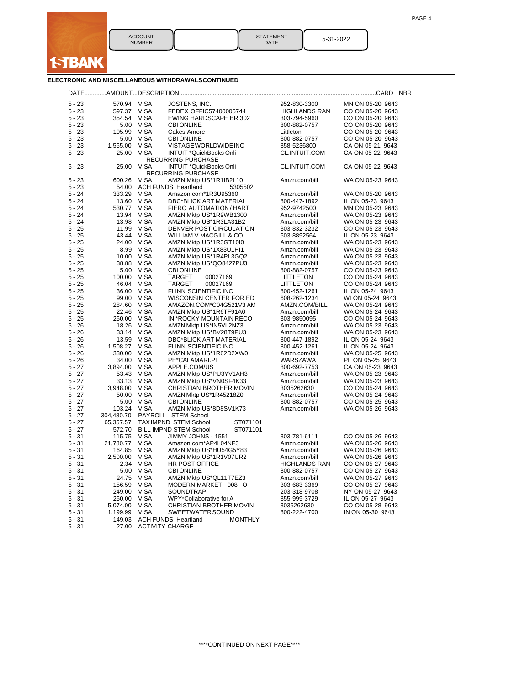

| <b>STATEMENT</b> |  |
|------------------|--|
| DATE             |  |

5-31-2022

| ELECTRONIC AND MISCELLANEOUS WITHDRAWALSCONTINUED |  |  |  |
|---------------------------------------------------|--|--|--|
|                                                   |  |  |  |

| $5 - 23$ | 570.94     | <b>VISA</b> | JOSTENS, INC.                                | 952-830-3300         | MN ON 05-20 9643 |
|----------|------------|-------------|----------------------------------------------|----------------------|------------------|
| $5 - 23$ | 597.37     | <b>VISA</b> | FEDEX OFFIC57400005744                       | <b>HIGHLANDS RAN</b> | CO ON 05-20 9643 |
| $5 - 23$ | 354.54     | <b>VISA</b> | EWING HARDSCAPE BR 302                       | 303-794-5960         | CO ON 05-20 9643 |
| $5 - 23$ | 5.00       | <b>VISA</b> | <b>CBI ONLINE</b>                            | 800-882-0757         | CO ON 05-20 9643 |
| $5 - 23$ | 105.99     | <b>VISA</b> | Cakes Amore                                  | Littleton            | CO ON 05-20 9643 |
| $5 - 23$ | 5.00       | <b>VISA</b> | <b>CBI ONLINE</b>                            | 800-882-0757         | CO ON 05-20 9643 |
| $5 - 23$ | 1,565.00   | <b>VISA</b> | VISTAGE WORLDWIDE INC                        | 858-5236800          | CA ON 05-21 9643 |
|          |            |             |                                              |                      |                  |
| $5 - 23$ | 25.00      | <b>VISA</b> | INTUIT *QuickBooks Onli                      | CL.INTUIT.COM        | CA ON 05-22 9643 |
|          |            |             | <b>RECURRING PURCHASE</b>                    |                      |                  |
| $5 - 23$ | 25.00      | <b>VISA</b> | INTUIT *QuickBooks Onli                      | CL.INTUIT.COM        | CA ON 05-22 9643 |
|          |            |             | <b>RECURRING PURCHASE</b>                    |                      |                  |
| $5 - 23$ | 600.26     | <b>VISA</b> | AMZN Mktp US*1R1IB2L10                       | Amzn.com/bill        | WA ON 05-23 9643 |
| $5 - 23$ | 54.00      |             | <b>ACH FUNDS Heartland</b><br>5305502        |                      |                  |
| $5 - 24$ | 333.29     | <b>VISA</b> | Amazon.com*1R3U95360                         | Amzn.com/bill        | WA ON 05-20 9643 |
| $5 - 24$ | 13.60      | <b>VISA</b> | <b>DBC*BLICK ART MATERIAL</b>                | 800-447-1892         | IL ON 05-23 9643 |
| $5 - 24$ | 530.77     | <b>VISA</b> | FIERO AUTOMATION/ HART                       | 952-9742500          | MN ON 05-23 9643 |
| $5 - 24$ | 13.94      | <b>VISA</b> | AMZN Mktp US*1R9WB1300                       | Amzn.com/bill        | WA ON 05-23 9643 |
| $5 - 24$ | 13.98      | <b>VISA</b> | AMZN Mktp US*1R3LA31B2                       | Amzn.com/bill        | WA ON 05-23 9643 |
| $5 - 25$ | 11.99      | <b>VISA</b> | DENVER POST CIRCULATION                      | 303-832-3232         | CO ON 05-23 9643 |
| $5 - 25$ | 43.44      | <b>VISA</b> | WILLIAM V MACGILL & CO                       | 603-8892564          | IL ON 05-23 9643 |
| $5 - 25$ | 24.00      | <b>VISA</b> | AMZN Mktp US*1R3GT10I0                       | Amzn.com/bill        | WA ON 05-23 9643 |
| $5 - 25$ | 8.99       | <b>VISA</b> | AMZN Mktp US*1X83U1HI1                       | Amzn.com/bill        | WA ON 05-23 9643 |
| $5 - 25$ | 10.00      | <b>VISA</b> | AMZN Mktp US*1R4PL3GQ2                       | Amzn.com/bill        | WA ON 05-23 9643 |
| $5 - 25$ | 38.88      | <b>VISA</b> | AMZN Mktp US*QO8427PU3                       | Amzn.com/bill        | WA ON 05-23 9643 |
| $5 - 25$ | 5.00       | <b>VISA</b> | <b>CBI ONLINE</b>                            | 800-882-0757         | CO ON 05-23 9643 |
| $5 - 25$ | 100.00     | <b>VISA</b> | TARGET<br>00027169                           | LITTLETON            | CO ON 05-24 9643 |
| $5 - 25$ | 46.04      | <b>VISA</b> | <b>TARGET</b><br>00027169                    | LITTLETON            | CO ON 05-24 9643 |
| $5 - 25$ | 36.00      | <b>VISA</b> | FLINN SCIENTIFIC INC                         | 800-452-1261         | IL ON 05-24 9643 |
| $5 - 25$ | 99.00      | <b>VISA</b> | WISCONSIN CENTER FOR ED                      | 608-262-1234         | WI ON 05-24 9643 |
| $5 - 25$ | 284.60     | <b>VISA</b> | AMAZON.COM*C04G521V3 AM                      | AMZN.COM/BILL        | WA ON 05-24 9643 |
| $5 - 25$ | 22.46      | <b>VISA</b> | AMZN Mktp US*1R6TF91A0                       | Amzn.com/bill        | WA ON 05-24 9643 |
| $5 - 25$ |            |             |                                              |                      |                  |
|          | 250.00     | <b>VISA</b> | IN *ROCKY MOUNTAIN RECO                      | 303-9850095          | CO ON 05-24 9643 |
| $5 - 26$ | 18.26      | <b>VISA</b> | AMZN Mktp US*IN5VL2NZ3                       | Amzn.com/bill        | WA ON 05-23 9643 |
| $5 - 26$ | 33.14      | <b>VISA</b> | AMZN Mktp US*BV28T9PU3                       | Amzn.com/bill        | WA ON 05-23 9643 |
| $5 - 26$ | 13.59      | <b>VISA</b> | DBC*BLICK ART MATERIAL                       | 800-447-1892         | IL ON 05-24 9643 |
| $5 - 26$ | 1,508.27   | <b>VISA</b> | FLINN SCIENTIFIC INC                         | 800-452-1261         | IL ON 05-24 9643 |
| $5 - 26$ | 330.00     | <b>VISA</b> | AMZN Mktp US*1R62D2XW0                       | Amzn.com/bill        | WA ON 05-25 9643 |
| $5 - 26$ | 34.00      | <b>VISA</b> | PE*CALAMARI.PL                               | WARSZAWA             | PL ON 05-25 9643 |
| $5 - 27$ | 3,894.00   | <b>VISA</b> | APPLE.COM/US                                 | 800-692-7753         | CA ON 05-23 9643 |
| $5 - 27$ | 53.43      | <b>VISA</b> | AMZN Mktp US*PU3YV1AH3                       | Amzn.com/bill        | WA ON 05-23 9643 |
| $5 - 27$ | 33.13      | <b>VISA</b> | AMZN Mktp US*VN0SF4K33                       | Amzn.com/bill        | WA ON 05-23 9643 |
| $5 - 27$ | 3,948.00   | <b>VISA</b> | CHRISTIAN BROTHER MOVIN                      | 3035262630           | CO ON 05-24 9643 |
| $5 - 27$ | 50.00      | <b>VISA</b> | AMZN Mktp US*1R45218Z0                       | Amzn.com/bill        | WA ON 05-24 9643 |
| $5 - 27$ | 5.00       | <b>VISA</b> | <b>CBI ONLINE</b>                            | 800-882-0757         | CO ON 05-25 9643 |
| $5 - 27$ | 103.24     | <b>VISA</b> | AMZN Mktp US*8D8SV1K73                       | Amzn.com/bill        | WA ON 05-26 9643 |
| $5 - 27$ | 304,480.70 |             | PAYROLL STEM School                          |                      |                  |
| $5 - 27$ | 65,357.57  |             | <b>TAXIMPND STEM School</b><br>ST071101      |                      |                  |
| $5 - 27$ | 572.70     |             | <b>BILL IMPND STEM School</b><br>ST071101    |                      |                  |
| $5 - 31$ | 115.75     | <b>VISA</b> | JIMMY JOHNS - 1551                           | 303-781-6111         | CO ON 05-26 9643 |
| $5 - 31$ | 21,780.77  | VISA        | Amazon.com*AP4L04NF3                         | Amzn.com/bill        | WA ON 05-26 9643 |
| $5 - 31$ | 164.85     | <b>VISA</b> | AMZN Mktp US*HU54G5Y83                       | Amzn.com/bill        | WA ON 05-26 9643 |
| $5 - 31$ | 2,500.00   | <b>VISA</b> | AMZN Mktp US*1R1V07UR2                       | Amzn.com/bill        | WA ON 05-26 9643 |
| $5 - 31$ | 2.34       | <b>VISA</b> | HR POST OFFICE                               | <b>HIGHLANDS RAN</b> | CO ON 05-27 9643 |
| $5 - 31$ | 5.00       | <b>VISA</b> | <b>CBI ONLINE</b>                            | 800-882-0757         | CO ON 05-27 9643 |
| $5 - 31$ | 24.75      | <b>VISA</b> | AMZN Mktp US*QL11T7EZ3                       | Amzn.com/bill        | WA ON 05-27 9643 |
| $5 - 31$ | 156.59     | <b>VISA</b> | MODERN MARKET - 008 - O                      | 303-683-3369         | CO ON 05-27 9643 |
| $5 - 31$ |            | <b>VISA</b> |                                              |                      |                  |
|          | 249.00     |             | SOUNDTRAP                                    | 203-318-9708         | NY ON 05-27 9643 |
| $5 - 31$ | 250.00     | <b>VISA</b> | WPY*Collaborative for A                      | 855-999-3729         | IL ON 05-27 9643 |
| $5 - 31$ | 5,074.00   | <b>VISA</b> | CHRISTIAN BROTHER MOVIN                      | 3035262630           | CO ON 05-28 9643 |
| $5 - 31$ | 1,199.99   | <b>VISA</b> | SWEETWATER SOUND                             | 800-222-4700         | IN ON 05-30 9643 |
| $5 - 31$ | 149.03     |             | <b>ACH FUNDS Heartland</b><br><b>MONTHLY</b> |                      |                  |
| $5 - 31$ | 27.00      |             | <b>ACTIVITY CHARGE</b>                       |                      |                  |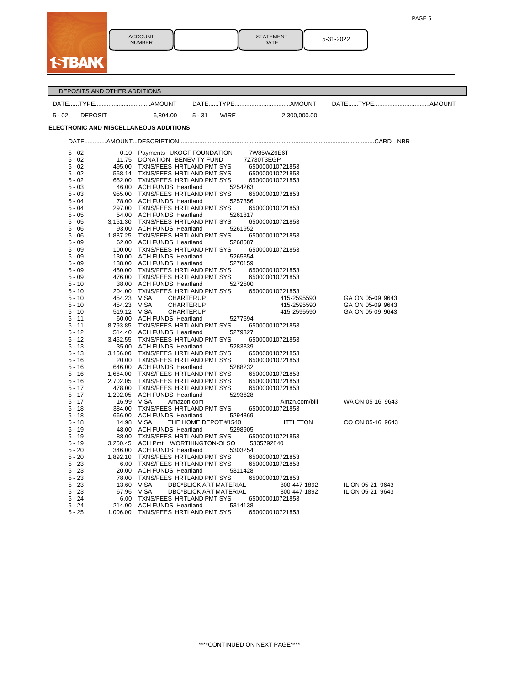PAGE 5

|       | <b>ACCO</b><br><b>NUME</b> |
|-------|----------------------------|
| ∢{}). |                            |

ACCOUNT NUMBER

STATEMENT DATE 5-31-2022

|          | DEPOSITS AND OTHER ADDITIONS  |                                                                |          |                               |                                |               |                  |  |
|----------|-------------------------------|----------------------------------------------------------------|----------|-------------------------------|--------------------------------|---------------|------------------|--|
|          |                               |                                                                |          |                               |                                |               |                  |  |
| $5 - 02$ | <b>DEPOSIT</b>                | 6,804.00                                                       | $5 - 31$ | <b>WIRE</b>                   |                                | 2,300,000.00  |                  |  |
|          |                               | ELECTRONIC AND MISCELLANEOUS ADDITIONS                         |          |                               |                                |               |                  |  |
|          |                               |                                                                |          |                               |                                |               |                  |  |
|          | $5 - 02$                      | 0.10 Payments UKOGF FOUNDATION                                 |          |                               | 7W85WZ6E6T                     |               |                  |  |
|          | $5 - 02$                      | 11.75 DONATION BENEVITY FUND                                   |          |                               | 7Z730T3EGP                     |               |                  |  |
|          | $5 - 02$<br>495.00            | TXNS/FEES HRTLAND PMT SYS                                      |          |                               | 650000010721853                |               |                  |  |
|          | $5 - 02$                      | 558.14 TXNS/FEES HRTLAND PMT SYS                               |          |                               | 650000010721853                |               |                  |  |
|          | $5 - 02$                      | 652.00 TXNS/FEES HRTLAND PMT SYS                               |          |                               | 650000010721853                |               |                  |  |
|          | $5 - 03$                      | 46.00 ACH FUNDS Heartland                                      |          | 5254263                       |                                |               |                  |  |
|          | $5 - 03$                      | 955.00 TXNS/FEES HRTLAND PMT SYS                               |          |                               | 650000010721853                |               |                  |  |
|          | $5 - 04$                      | 78.00 ACH FUNDS Heartland                                      |          |                               | 5257356                        |               |                  |  |
|          | $5 - 04$<br>$5 - 05$          | 297.00 TXNS/FEES HRTLAND PMT SYS<br>54.00 ACH FUNDS Heartland  |          | 5261817                       | 650000010721853                |               |                  |  |
|          | 5 - 05                        | 3,151.30 TXNS/FEES HRTLAND PMT SYS                             |          |                               | 650000010721853                |               |                  |  |
|          | 5 - 06                        | 93.00 ACH FUNDS Heartland                                      |          | 5261952                       |                                |               |                  |  |
|          | 5 - 06                        | 1,887.25 TXNS/FEES HRTLAND PMT SYS                             |          |                               | 650000010721853                |               |                  |  |
|          | $5 - 09$                      | 62.00 ACH FUNDS Heartland                                      |          | 5268587                       |                                |               |                  |  |
|          | $5 - 09$                      | 100.00 TXNS/FEES HRTLAND PMT SYS                               |          |                               | 650000010721853                |               |                  |  |
|          | $5 - 09$                      | 130.00 ACH FUNDS Heartland                                     |          | 5265354                       |                                |               |                  |  |
|          | $5 - 09$                      | 138.00 ACH FUNDS Heartland                                     |          |                               | 5270159                        |               |                  |  |
|          | $5 - 09$                      | 450.00 TXNS/FEES HRTLAND PMT SYS                               |          |                               | 650000010721853                |               |                  |  |
|          | $5 - 09$                      | 476.00 TXNS/FEES HRTLAND PMT SYS                               |          |                               | 650000010721853                |               |                  |  |
|          | $5 - 10$<br>$5 - 10$          | 38.00 ACH FUNDS Heartland<br>204.00 TXNS/FEES HRTLAND PMT SYS  |          | 5272500                       |                                |               |                  |  |
|          | $5 - 10$                      | 454.23 VISA<br><b>CHARTERUP</b>                                |          |                               | 650000010721853<br>415-2595590 |               | GA ON 05-09 9643 |  |
|          | $5 - 10$                      | 454.23 VISA<br><b>CHARTERUP</b>                                |          |                               | 415-2595590                    |               | GA ON 05-09 9643 |  |
|          | $5 - 10$                      | 519.12 VISA<br><b>CHARTERUP</b>                                |          |                               | 415-2595590                    |               | GA ON 05-09 9643 |  |
|          | 5 - 11                        | 60.00 ACH FUNDS Heartland                                      |          |                               | 5277594                        |               |                  |  |
|          | $5 - 11$                      | 8,793.85 TXNS/FEES HRTLAND PMT SYS                             |          |                               | 650000010721853                |               |                  |  |
|          | $5 - 12$                      | 514.40 ACH FUNDS Heartland                                     |          | 5279327                       |                                |               |                  |  |
|          | $5 - 12$                      | 3,452.55 TXNS/FEES HRTLAND PMT SYS                             |          |                               | 650000010721853                |               |                  |  |
|          | $5 - 13$                      | 35.00 ACH FUNDS Heartland                                      |          | 5283339                       |                                |               |                  |  |
|          | $5 - 13$                      | 3,156.00 TXNS/FEES HRTLAND PMT SYS                             |          |                               | 650000010721853                |               |                  |  |
|          | $5 - 16$<br>$5 - 16$          | 20.00 TXNS/FEES HRTLAND PMT SYS<br>646.00 ACH FUNDS Heartland  |          | 5288232                       | 650000010721853                |               |                  |  |
|          | 1,664.00<br>$5 - 16$          | TXNS/FEES HRTLAND PMT SYS                                      |          |                               | 650000010721853                |               |                  |  |
|          | $5 - 16$<br>2,702.05          | TXNS/FEES HRTLAND PMT SYS                                      |          |                               | 650000010721853                |               |                  |  |
|          | $5 - 17$                      | 478.00 TXNS/FEES HRTLAND PMT SYS                               |          |                               | 650000010721853                |               |                  |  |
|          | 5 - 17                        | 1,202.05 ACH FUNDS Heartland                                   |          | 5293628                       |                                |               |                  |  |
|          | 5 - 17                        | 16.99 VISA<br>Amazon.com                                       |          |                               |                                | Amzn.com/bill | WA ON 05-16 9643 |  |
|          | 384.00<br>$5 - 18$            | TXNS/FEES HRTLAND PMT SYS                                      |          |                               | 650000010721853                |               |                  |  |
|          | 5 - 18                        | 666.00 ACH FUNDS Heartland                                     |          | 5294869                       |                                |               |                  |  |
|          | $5 - 18$                      | 14.98 VISA                                                     |          | THE HOME DEPOT #1540          | <b>LITTLETON</b>               |               | CO ON 05-16 9643 |  |
|          | $5 - 19$                      | 48.00 ACH FUNDS Heartland                                      |          | 5298905                       |                                |               |                  |  |
|          | $5 - 19$<br>88.00<br>$5 - 19$ | TXNS/FEES HRTLAND PMT SYS<br>3,250.45 ACH Pmt WORTHINGTON-OLSO |          |                               | 650000010721853<br>5335792840  |               |                  |  |
|          | $5 - 20$                      | 346.00 ACH FUNDS Heartland                                     |          | 5303254                       |                                |               |                  |  |
|          | $5 - 20$                      | 1,892.10 TXNS/FEES HRTLAND PMT SYS                             |          |                               | 650000010721853                |               |                  |  |
|          | $5 - 23$                      | 6.00 TXNS/FEES HRTLAND PMT SYS                                 |          |                               | 650000010721853                |               |                  |  |
|          | $5 - 23$                      | 20.00 ACH FUNDS Heartland                                      |          | 5311428                       |                                |               |                  |  |
|          | $5 - 23$<br>78.00             | TXNS/FEES HRTLAND PMT SYS                                      |          |                               | 650000010721853                |               |                  |  |
|          | $5 - 23$                      | 13.60 VISA                                                     |          | <b>DBC*BLICK ART MATERIAL</b> |                                | 800-447-1892  | IL ON 05-21 9643 |  |
|          | $5 - 23$                      | 67.96 VISA                                                     |          | DBC*BLICK ART MATERIAL        |                                | 800-447-1892  | IL ON 05-21 9643 |  |
|          | $5 - 24$<br>6.00              | TXNS/FEES HRTLAND PMT SYS                                      |          |                               | 650000010721853                |               |                  |  |
|          | $5 - 24$                      | 214.00 ACH FUNDS Heartland                                     |          |                               | 5314138                        |               |                  |  |
|          | $5 - 25$<br>1,006.00          | TXNS/FEES HRTLAND PMT SYS                                      |          |                               | 650000010721853                |               |                  |  |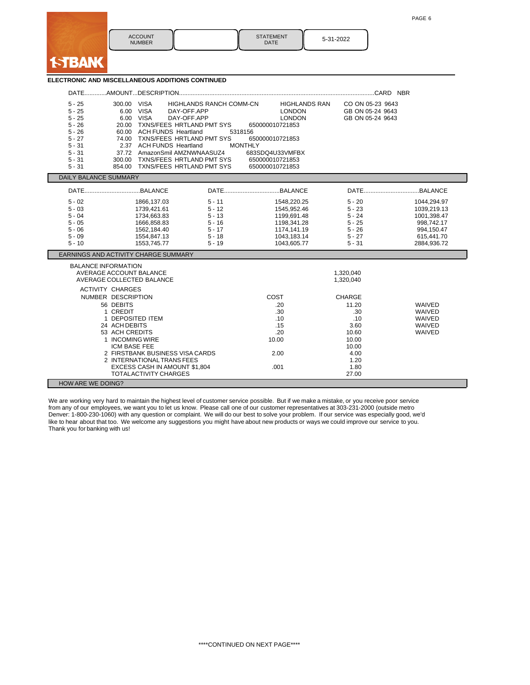| <b>ACCOUNT</b><br><b>NUMBER</b> | <b>STATEMENT</b><br><b>DATE</b> | 5-31-2022 |
|---------------------------------|---------------------------------|-----------|

| <b>ELECTRONIC AND MISCELLANEOUS ADDITIONS CONTINUED</b> |  |  |  |
|---------------------------------------------------------|--|--|--|
|                                                         |  |  |  |

**I-TBANK** 

| 300.00 VISA<br>$5 - 25$<br>$5 - 25$<br>$5 - 25$<br>$5 - 26$<br>$5 - 26$<br>60.00<br>$5 - 27$<br>$5 - 31$<br>$5 - 31$<br>$5 - 31$<br>300.00<br>$5 - 31$                   | 6.00 VISA<br>DAY-OFF.APP<br>6.00 VISA<br>DAY-OFF.APP<br>20.00 TXNS/FEES HRTLAND PMT SYS<br><b>ACH FUNDS Heartland</b><br>74.00 TXNS/FEES HRTLAND PMT SYS<br>2.37 ACH FUNDS Heartland<br>37.72 AmazonSmil AMZNWNAASUZ4<br>TXNS/FEES HRTLAND PMT SYS<br>854.00 TXNS/FEES HRTLAND PMT SYS | HIGHLANDS RANCH COMM-CN<br>5318156<br><b>MONTHLY</b>                             | <b>HIGHLANDS RAN</b><br><b>LONDON</b><br><b>LONDON</b><br>650000010721853<br>650000010721853<br>683SDQ4U33VMFBX<br>650000010721853<br>650000010721853 | CO ON 05-23 9643<br>GB ON 05-24 9643<br>GB ON 05-24 9643                                          |                                                                                                    |
|--------------------------------------------------------------------------------------------------------------------------------------------------------------------------|----------------------------------------------------------------------------------------------------------------------------------------------------------------------------------------------------------------------------------------------------------------------------------------|----------------------------------------------------------------------------------|-------------------------------------------------------------------------------------------------------------------------------------------------------|---------------------------------------------------------------------------------------------------|----------------------------------------------------------------------------------------------------|
| <b>DAILY BALANCE SUMMARY</b>                                                                                                                                             |                                                                                                                                                                                                                                                                                        |                                                                                  |                                                                                                                                                       |                                                                                                   |                                                                                                    |
|                                                                                                                                                                          |                                                                                                                                                                                                                                                                                        |                                                                                  |                                                                                                                                                       |                                                                                                   |                                                                                                    |
| $5 - 02$<br>$5 - 03$<br>$5 - 04$<br>$5 - 05$<br>$5 - 06$<br>$5 - 09$<br>$5 - 10$                                                                                         | 1866.137.03<br>1739.421.61<br>1734,663.83<br>1666,858.83<br>1562,184.40<br>1554.847.13<br>1553,745.77                                                                                                                                                                                  | $5 - 11$<br>$5 - 12$<br>$5 - 13$<br>$5 - 16$<br>$5 - 17$<br>$5 - 18$<br>$5 - 19$ | 1548.220.25<br>1545.952.46<br>1199,691.48<br>1198,341.28<br>1174,141.19<br>1043.183.14<br>1043,605.77                                                 | $5 - 20$<br>$5 - 23$<br>$5 - 24$<br>$5 - 25$<br>$5 - 26$<br>$5 - 27$<br>$5 - 31$                  | 1044.294.97<br>1039.219.13<br>1001,398.47<br>998,742.17<br>994,150.47<br>615.441.70<br>2884,936.72 |
| EARNINGS AND ACTIVITY CHARGE SUMMARY                                                                                                                                     |                                                                                                                                                                                                                                                                                        |                                                                                  |                                                                                                                                                       |                                                                                                   |                                                                                                    |
| <b>BALANCE INFORMATION</b><br>AVERAGE ACCOUNT BALANCE<br>AVERAGE COLLECTED BALANCE                                                                                       |                                                                                                                                                                                                                                                                                        |                                                                                  |                                                                                                                                                       | 1.320.040<br>1,320,040                                                                            |                                                                                                    |
| <b>ACTIVITY CHARGES</b><br>NUMBER DESCRIPTION<br>56 DEBITS<br>1 CREDIT<br>24 ACH DEBITS<br>53 ACH CREDITS<br>1 INCOMING WIRE<br>ICM BASE FEE<br><b>HOW ARE WE DOING?</b> | 1 DEPOSITED ITEM<br>2 FIRSTBANK BUSINESS VISA CARDS<br>2 INTERNATIONAL TRANS FEES<br>EXCESS CASH IN AMOUNT \$1,804<br><b>TOTALACTIVITY CHARGES</b>                                                                                                                                     |                                                                                  | COST<br>.20<br>.30<br>.10<br>.15<br>.20<br>10.00<br>2.00<br>.001                                                                                      | CHARGE<br>11.20<br>.30<br>.10<br>3.60<br>10.60<br>10.00<br>10.00<br>4.00<br>1.20<br>1.80<br>27.00 | WAIVED<br>WAIVED<br>WAIVED<br>WAIVED<br>WAIVED                                                     |

We are working very hard to maintain the highest level of customer service possible. But if we make a mistake, or you receive poor service from any of our employees, we want you to let us know. Please call one of our customer representatives at 303-231-2000 (outside metro Denver: 1-800-230-1060) with any question or complaint. We will do our best to solve your problem. If our service was especially good, we'd like to hear about that too. We welcome any suggestions you might have about new products or ways we could improve our service to you. Thank you for banking with us!